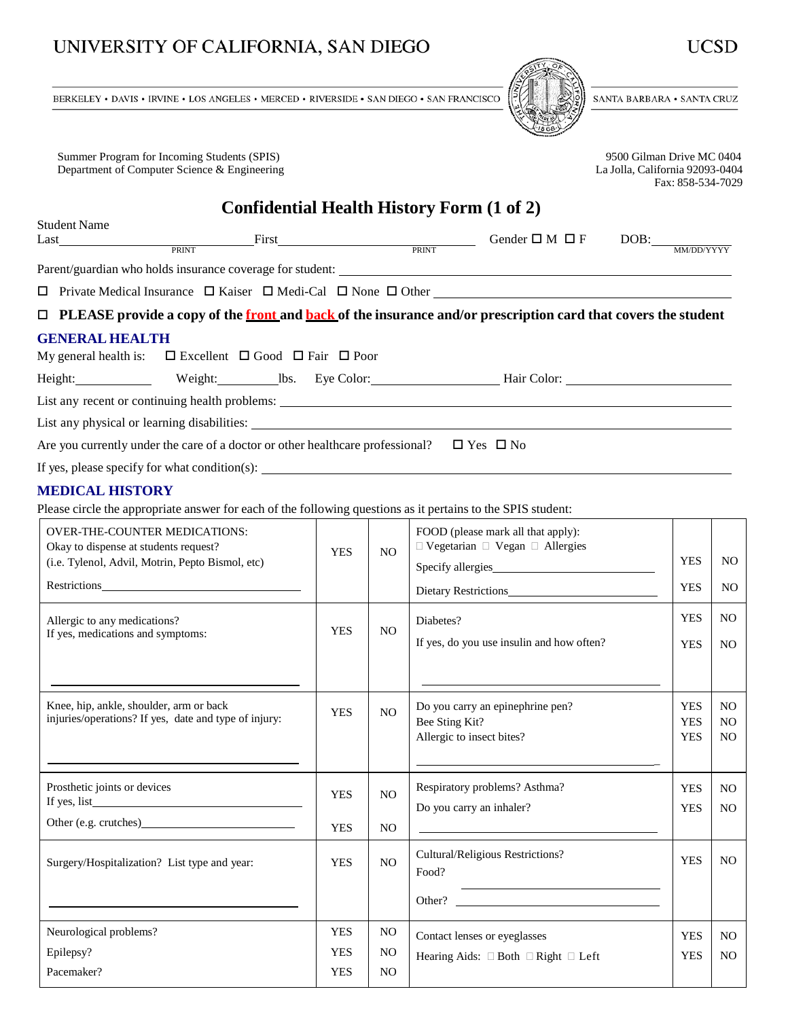## UNIVERSITY OF CALIFORNIA, SAN DIEGO

BERKELEY • DAVIS • IRVINE • LOS ANGELES • MERCED • RIVERSIDE • SAN DIEGO • SAN FRANCISCO

Summer Program for Incoming Students (SPIS) 9500 Gilman Drive MC 0404<br>Department of Computer Science & Engineering 1999-0404<br>La Jolla, California 92093-0404 Department of Computer Science & Engineering

**Confidential Health History Form (1 of 2)**

| Student Name                                                                                                                                                                                                                                                                               |  |  |             |  |                                                                                                                                                                                                                               |  |                                     |  |
|--------------------------------------------------------------------------------------------------------------------------------------------------------------------------------------------------------------------------------------------------------------------------------------------|--|--|-------------|--|-------------------------------------------------------------------------------------------------------------------------------------------------------------------------------------------------------------------------------|--|-------------------------------------|--|
| Last PRINT                                                                                                                                                                                                                                                                                 |  |  | First PRINT |  | Gender $\square$ M $\square$ F                                                                                                                                                                                                |  | $DOB:\underline{\hbox{MMDD/YYYYY}}$ |  |
|                                                                                                                                                                                                                                                                                            |  |  |             |  |                                                                                                                                                                                                                               |  |                                     |  |
|                                                                                                                                                                                                                                                                                            |  |  |             |  |                                                                                                                                                                                                                               |  |                                     |  |
|                                                                                                                                                                                                                                                                                            |  |  |             |  |                                                                                                                                                                                                                               |  |                                     |  |
| $\Box$ PLEASE provide a copy of the front and back of the insurance and/or prescription card that covers the student                                                                                                                                                                       |  |  |             |  |                                                                                                                                                                                                                               |  |                                     |  |
| <b>GENERAL HEALTH</b>                                                                                                                                                                                                                                                                      |  |  |             |  |                                                                                                                                                                                                                               |  |                                     |  |
| My general health is: $\square$ Excellent $\square$ Good $\square$ Fair $\square$ Poor                                                                                                                                                                                                     |  |  |             |  |                                                                                                                                                                                                                               |  |                                     |  |
|                                                                                                                                                                                                                                                                                            |  |  |             |  |                                                                                                                                                                                                                               |  |                                     |  |
|                                                                                                                                                                                                                                                                                            |  |  |             |  | List any recent or continuing health problems:                                                                                                                                                                                |  |                                     |  |
|                                                                                                                                                                                                                                                                                            |  |  |             |  | List any physical or learning disabilities: Learning and the same of the same of the same of the same of the same of the same of the same of the same of the same of the same of the same of the same of the same of the same |  |                                     |  |
| Are you currently under the care of a doctor or other healthcare professional? $\square$ Yes $\square$ No                                                                                                                                                                                  |  |  |             |  |                                                                                                                                                                                                                               |  |                                     |  |
| If yes, please specify for what condition(s): $\frac{1}{1}$ = $\frac{1}{1}$ = $\frac{1}{1}$ = $\frac{1}{1}$ = $\frac{1}{1}$ = $\frac{1}{1}$ = $\frac{1}{1}$ = $\frac{1}{1}$ = $\frac{1}{1}$ = $\frac{1}{1}$ = $\frac{1}{1}$ = $\frac{1}{1}$ = $\frac{1}{1}$ = $\frac{1}{1}$ = $\frac{1}{1$ |  |  |             |  |                                                                                                                                                                                                                               |  |                                     |  |

### **MEDICAL HISTORY**

Please circle the appropriate answer for each of the following questions as it pertains to the SPIS student:

| <b>OVER-THE-COUNTER MEDICATIONS:</b><br>Okay to dispense at students request?<br>(i.e. Tylenol, Advil, Motrin, Pepto Bismol, etc) |                          | NO.                              | FOOD (please mark all that apply):<br>$\Box$ Vegetarian $\Box$ Vegan $\Box$ Allergies                                                                                       | <b>YES</b>                             | NO.                                                |
|-----------------------------------------------------------------------------------------------------------------------------------|--------------------------|----------------------------------|-----------------------------------------------------------------------------------------------------------------------------------------------------------------------------|----------------------------------------|----------------------------------------------------|
| Restrictions                                                                                                                      |                          |                                  | Dietary Restrictions                                                                                                                                                        | <b>YES</b>                             | NO.                                                |
| Allergic to any medications?<br>If yes, medications and symptoms:                                                                 | <b>YES</b>               | N <sub>O</sub>                   | Diabetes?<br>If yes, do you use insulin and how often?                                                                                                                      | <b>YES</b>                             | N <sub>O</sub>                                     |
|                                                                                                                                   |                          |                                  |                                                                                                                                                                             | <b>YES</b>                             | N <sub>O</sub>                                     |
| Knee, hip, ankle, shoulder, arm or back<br>injuries/operations? If yes, date and type of injury:                                  | <b>YES</b>               | N <sub>O</sub>                   | Do you carry an epinephrine pen?<br>Bee Sting Kit?<br>Allergic to insect bites?                                                                                             | <b>YES</b><br><b>YES</b><br><b>YES</b> | N <sub>O</sub><br>N <sub>O</sub><br>N <sub>O</sub> |
| Prosthetic joints or devices                                                                                                      | <b>YES</b><br><b>YES</b> | N <sub>O</sub><br>N <sub>O</sub> | Respiratory problems? Asthma?<br>Do you carry an inhaler?                                                                                                                   | <b>YES</b><br><b>YES</b>               | N <sub>O</sub><br>N <sub>O</sub>                   |
| Surgery/Hospitalization? List type and year:                                                                                      | <b>YES</b>               | N <sub>O</sub>                   | Cultural/Religious Restrictions?<br>Food?<br><u> 1989 - Johann Barn, mars ann an t-Amhain Aonaich an t-Aonaich an t-Aonaich ann an t-Aonaich ann an t-Aonaich</u><br>Other? | <b>YES</b>                             | N <sub>O</sub>                                     |
| Neurological problems?                                                                                                            | <b>YES</b>               | N <sub>O</sub>                   | Contact lenses or eyeglasses                                                                                                                                                | <b>YES</b>                             | N <sub>O</sub>                                     |
| Epilepsy?                                                                                                                         | <b>YES</b>               | N <sub>O</sub>                   | Hearing Aids: $\Box$ Both $\Box$ Right $\Box$ Left                                                                                                                          | <b>YES</b>                             | N <sub>O</sub>                                     |
| Pacemaker?                                                                                                                        | <b>YES</b>               | N <sub>O</sub>                   |                                                                                                                                                                             |                                        |                                                    |

Fax: 858-534-7029

SANTA BARBARA • SANTA CRUZ